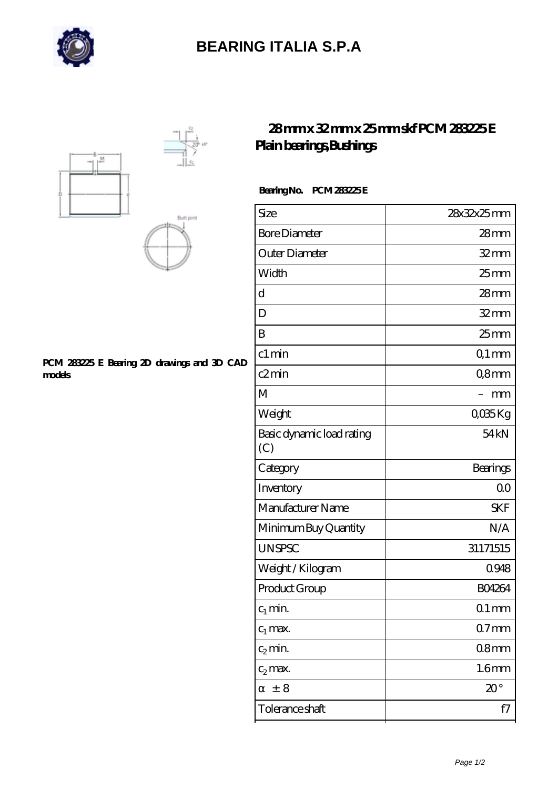

## **[BEARING ITALIA S.P.A](https://dianamascarenhas.com)**





#### **[PCM 283225 E Bearing 2D drawings and 3D CAD](https://dianamascarenhas.com/pic-64968889.html) [models](https://dianamascarenhas.com/pic-64968889.html)**

### **[28 mm x 32 mm x 25 mm skf PCM 283225 E](https://dianamascarenhas.com/aI-64968889-skf-pcm-283225-e-plain-bearings-bushings.html) [Plain bearings,Bushings](https://dianamascarenhas.com/aI-64968889-skf-pcm-283225-e-plain-bearings-bushings.html)**

### **Bearing No. PCM 283225 E**

| Size                             | 28x32x25mm        |
|----------------------------------|-------------------|
| <b>Bore Diameter</b>             | $28$ mm           |
| Outer Diameter                   | $32$ mm           |
| Width                            | 25 <sub>mm</sub>  |
| d                                | 28 <sub>mm</sub>  |
| D                                | $32$ mm           |
| B                                | $25$ mm           |
| c1 min                           | Q1 mm             |
| c2min                            | Q8mm              |
| M                                | mm                |
| Weight                           | QO35Kg            |
| Basic dynamic load rating<br>(C) | 54 <sub>kN</sub>  |
| Category                         | Bearings          |
| Inventory                        | 0 <sup>0</sup>    |
| Manufacturer Name                | <b>SKF</b>        |
| Minimum Buy Quantity             | N/A               |
| <b>UNSPSC</b>                    | 31171515          |
| Weight / Kilogram                | 0948              |
| Product Group                    | <b>BO4264</b>     |
| $c_1$ min.                       | $01$ mm           |
| $c_1$ max.                       | $07$ mm           |
| $c_2$ min.                       | 08 <sub>mm</sub>  |
| $c_2$ max.                       | 1.6 <sub>mm</sub> |
| ± 8                              | $20^{\circ}$      |
| Tolerance shaft                  | f7                |